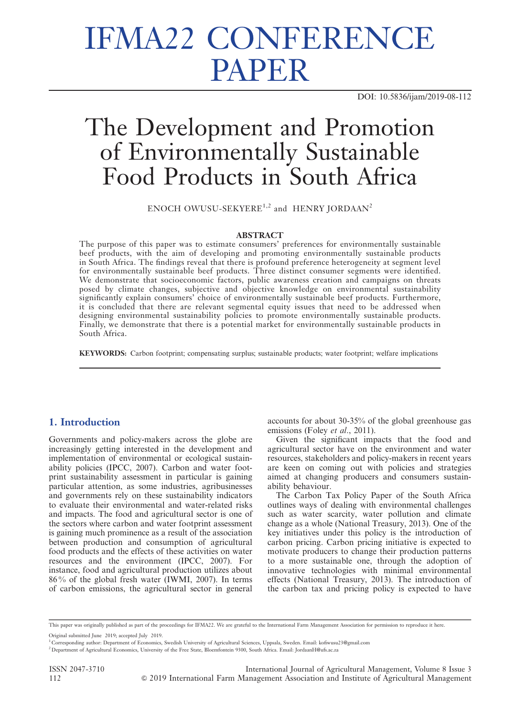# IFMA22 CONFERENCE PAPER

DOI: 10.5836/ijam/2019-08-112

# The Development and Promotion of Environmentally Sustainable Food Products in South Africa

ENOCH OWUSU-SEKYERE<sup>1,2</sup> and HENRY JORDAAN<sup>2</sup>

### **ABSTRACT**

The purpose of this paper was to estimate consumers' preferences for environmentally sustainable beef products, with the aim of developing and promoting environmentally sustainable products in South Africa. The findings reveal that there is profound preference heterogeneity at segment level for environmentally sustainable beef products. Three distinct consumer segments were identified. We demonstrate that socioeconomic factors, public awareness creation and campaigns on threats posed by climate changes, subjective and objective knowledge on environmental sustainability significantly explain consumers' choice of environmentally sustainable beef products. Furthermore, it is concluded that there are relevant segmental equity issues that need to be addressed when designing environmental sustainability policies to promote environmentally sustainable products. Finally, we demonstrate that there is a potential market for environmentally sustainable products in South Africa.

KEYWORDS: Carbon footprint; compensating surplus; sustainable products; water footprint; welfare implications

# 1. Introduction

Governments and policy-makers across the globe are increasingly getting interested in the development and implementation of environmental or ecological sustainability policies (IPCC, 2007). Carbon and water footprint sustainability assessment in particular is gaining particular attention, as some industries, agribusinesses and governments rely on these sustainability indicators to evaluate their environmental and water-related risks and impacts. The food and agricultural sector is one of the sectors where carbon and water footprint assessment is gaining much prominence as a result of the association between production and consumption of agricultural food products and the effects of these activities on water resources and the environment (IPCC, 2007). For instance, food and agricultural production utilizes about 86 % of the global fresh water (IWMI, 2007). In terms of carbon emissions, the agricultural sector in general accounts for about 30-35% of the global greenhouse gas emissions (Foley et al., 2011).

Given the significant impacts that the food and agricultural sector have on the environment and water resources, stakeholders and policy-makers in recent years are keen on coming out with policies and strategies aimed at changing producers and consumers sustainability behaviour.

The Carbon Tax Policy Paper of the South Africa outlines ways of dealing with environmental challenges such as water scarcity, water pollution and climate change as a whole (National Treasury, 2013). One of the key initiatives under this policy is the introduction of carbon pricing. Carbon pricing initiative is expected to motivate producers to change their production patterns to a more sustainable one, through the adoption of innovative technologies with minimal environmental effects (National Treasury, 2013). The introduction of the carbon tax and pricing policy is expected to have

This paper was originally published as part of the proceedings for IFMA22. We are grateful to the International Farm Management Association for permission to reproduce it here.

Original submitted June 2019; accepted July 2019.

<sup>&</sup>lt;sup>1</sup> Corresponding author: Department of Economics, Swedish University of Agricultural Sciences, Uppsala, Sweden. Email: kofiwusu23@gmail.com

<sup>2</sup> Department of Agricultural Economics, University of the Free State, Bloemfontein 9300, South Africa. Email: JordaanH@ufs.ac.za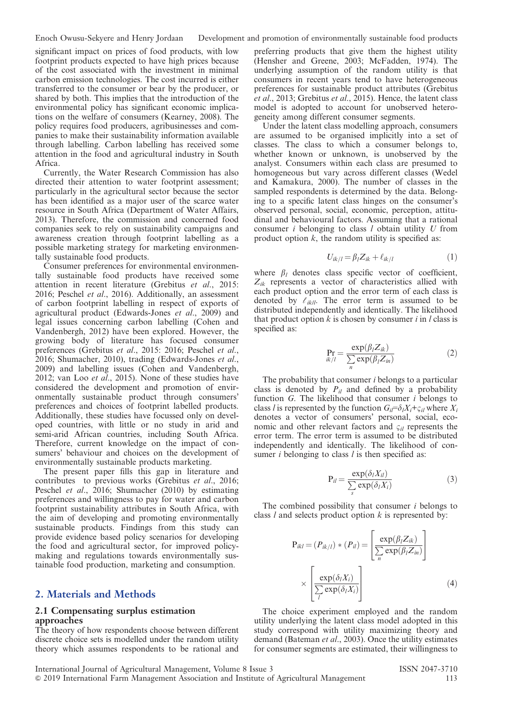significant impact on prices of food products, with low footprint products expected to have high prices because of the cost associated with the investment in minimal carbon emission technologies. The cost incurred is either transferred to the consumer or bear by the producer, or shared by both. This implies that the introduction of the environmental policy has significant economic implications on the welfare of consumers (Kearney, 2008). The policy requires food producers, agribusinesses and companies to make their sustainability information available through labelling. Carbon labelling has received some attention in the food and agricultural industry in South Africa.

Currently, the Water Research Commission has also directed their attention to water footprint assessment; particularly in the agricultural sector because the sector has been identified as a major user of the scarce water resource in South Africa (Department of Water Affairs, 2013). Therefore, the commission and concerned food companies seek to rely on sustainability campaigns and awareness creation through footprint labelling as a possible marketing strategy for marketing environmentally sustainable food products.

Consumer preferences for environmental environmentally sustainable food products have received some attention in recent literature (Grebitus et al., 2015: 2016; Peschel et al., 2016). Additionally, an assessment of carbon footprint labelling in respect of exports of agricultural product (Edwards-Jones et al., 2009) and legal issues concerning carbon labelling (Cohen and Vandenbergh, 2012) have been explored. However, the growing body of literature has focused consumer preferences (Grebitus et al., 2015: 2016; Peschel et al., 2016; Shumacher, 2010), trading (Edwards-Jones et al., 2009) and labelling issues (Cohen and Vandenbergh, 2012; van Loo et al., 2015). None of these studies have considered the development and promotion of environmentally sustainable product through consumers' preferences and choices of footprint labelled products. Additionally, these studies have focussed only on developed countries, with little or no study in arid and semi-arid African countries, including South Africa. Therefore, current knowledge on the impact of consumers' behaviour and choices on the development of environmentally sustainable products marketing.

The present paper fills this gap in literature and contributes to previous works (Grebitus et al., 2016; Peschel et al., 2016; Shumacher (2010) by estimating preferences and willingness to pay for water and carbon footprint sustainability attributes in South Africa, with the aim of developing and promoting environmentally sustainable products. Findings from this study can provide evidence based policy scenarios for developing the food and agricultural sector, for improved policymaking and regulations towards environmentally sustainable food production, marketing and consumption.

# 2. Materials and Methods

#### 2.1 Compensating surplus estimation approaches

The theory of how respondents choose between different discrete choice sets is modelled under the random utility theory which assumes respondents to be rational and

preferring products that give them the highest utility (Hensher and Greene, 2003; McFadden, 1974). The underlying assumption of the random utility is that consumers in recent years tend to have heterogeneous preferences for sustainable product attributes (Grebitus et al., 2013; Grebitus et al., 2015). Hence, the latent class model is adopted to account for unobserved heterogeneity among different consumer segments.

Under the latent class modelling approach, consumers are assumed to be organised implicitly into a set of classes. The class to which a consumer belongs to, whether known or unknown, is unobserved by the analyst. Consumers within each class are presumed to homogeneous but vary across different classes (Wedel and Kamakura, 2000). The number of classes in the sampled respondents is determined by the data. Belonging to a specific latent class hinges on the consumer's observed personal, social, economic, perception, attitudinal and behavioural factors. Assuming that a rational consumer *i* belonging to class *l* obtain utility *U* from product option  $k$ , the random utility is specified as:

$$
U_{ik/l} = \beta_l Z_{ik} + \ell_{ik/l} \tag{1}
$$

where  $\beta_l$  denotes class specific vector of coefficient,  $Z_{ik}$  represents a vector of characteristics allied with each product option and the error term of each class is denoted by  $\ell_{ik/l}$ . The error term is assumed to be distributed independently and identically. The likelihood that product option  $k$  is chosen by consumer  $i$  in  $l$  class is specified as:

$$
\Pr_{ik/l} = \frac{\exp(\beta_l Z_{ik})}{\sum_{n} \exp(\beta_l Z_{in})}
$$
 (2)

The probability that consumer  $i$  belongs to a particular class is denoted by  $P_{il}$  and defined by a probability function G. The likelihood that consumer *i* belongs to class l is represented by the function  $G_{ii} = \delta_l X_i + \varsigma_{il}$  where  $X_i$ denotes a vector of consumers' personal, social, economic and other relevant factors and  $\varsigma_{il}$  represents the error term. The error term is assumed to be distributed independently and identically. The likelihood of consumer  $i$  belonging to class  $l$  is then specified as:

$$
P_{il} = \frac{\exp(\delta_l X_{il})}{\sum_{s} \exp(\delta_l X_i)}
$$
(3)

The combined possibility that consumer  $i$  belongs to class  $l$  and selects product option  $k$  is represented by:

$$
P_{ikl} = (P_{ik/l}) * (P_{il}) = \left[\frac{\exp(\beta_l Z_{ik})}{\sum_{n} \exp(\beta_l Z_{in})}\right] \times \left[\frac{\exp(\delta_l X_i)}{\sum_{l} \exp(\delta_l X_l)}\right]
$$
(4)

The choice experiment employed and the random utility underlying the latent class model adopted in this study correspond with utility maximizing theory and demand (Bateman et al., 2003). Once the utility estimates for consumer segments are estimated, their willingness to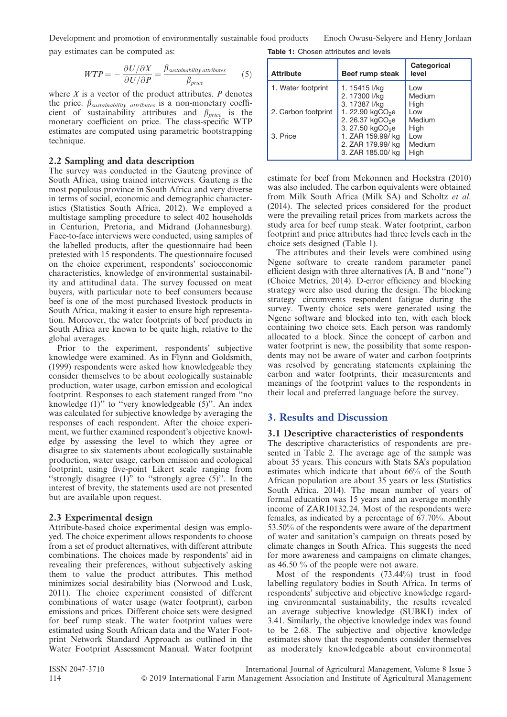pay estimates can be computed as: Table 1: Chosen attributes and levels Development and promotion of environmentally sustainable food products Enoch Owusu-Sekyere and Henry Jordaan

$$
WTP = -\frac{\partial U/\partial X}{\partial U/\partial P} = \frac{\beta_{\text{sustainability attributes}}}{\beta_{\text{price}}}
$$
 (5)

where  $X$  is a vector of the product attributes.  $P$  denotes the price.  $\beta_{\textit{sustainability attributes}}$  is a non-monetary coefficient of sustainability attributes and  $\beta_{price}$  is the monetary coefficient on price. The class-specific WTP estimates are computed using parametric bootstrapping technique.

#### 2.2 Sampling and data description

The survey was conducted in the Gauteng province of South Africa, using trained interviewers. Gauteng is the most populous province in South Africa and very diverse in terms of social, economic and demographic characteristics (Statistics South Africa, 2012). We employed a multistage sampling procedure to select 402 households in Centurion, Pretoria, and Midrand (Johannesburg). Face-to-face interviews were conducted, using samples of the labelled products, after the questionnaire had been pretested with 15 respondents. The questionnaire focused on the choice experiment, respondents' socioeconomic characteristics, knowledge of environmental sustainability and attitudinal data. The survey focussed on meat buyers, with particular note to beef consumers because beef is one of the most purchased livestock products in South Africa, making it easier to ensure high representation. Moreover, the water footprints of beef products in South Africa are known to be quite high, relative to the global averages.

Prior to the experiment, respondents' subjective knowledge were examined. As in Flynn and Goldsmith, (1999) respondents were asked how knowledgeable they consider themselves to be about ecologically sustainable production, water usage, carbon emission and ecological footprint. Responses to each statement ranged from ''no knowledge (1)'' to ''very knowledgeable (5)''. An index was calculated for subjective knowledge by averaging the responses of each respondent. After the choice experiment, we further examined respondent's objective knowledge by assessing the level to which they agree or disagree to six statements about ecologically sustainable production, water usage, carbon emission and ecological footprint, using five-point Likert scale ranging from "strongly disagree  $(1)$ " to "strongly agree  $(5)$ ". In the interest of brevity, the statements used are not presented but are available upon request.

### 2.3 Experimental design

Attribute-based choice experimental design was employed. The choice experiment allows respondents to choose from a set of product alternatives, with different attribute combinations. The choices made by respondents' aid in revealing their preferences, without subjectively asking them to value the product attributes. This method minimizes social desirability bias (Norwood and Lusk, 2011). The choice experiment consisted of different combinations of water usage (water footprint), carbon emissions and prices. Different choice sets were designed for beef rump steak. The water footprint values were estimated using South African data and the Water Footprint Network Standard Approach as outlined in the Water Footprint Assessment Manual. Water footprint

| <b>Attribute</b>    | Beef rump steak                                             | Categorical<br>level   |
|---------------------|-------------------------------------------------------------|------------------------|
| 1. Water footprint  | 1. 15415 l/ka<br>2. 17300 l/kg<br>3. 17387 I/kg             | Low<br>Medium<br>High  |
| 2. Carbon footprint | 1. 22.90 $kgCO2e$<br>2. 26.37 $kgCO2e$<br>3. 27.50 $kgCO2e$ | l ow<br>Medium<br>High |
| 3. Price            | 1. ZAR 159.99/ kg<br>2. ZAR 179.99/ kg<br>3. ZAR 185.00/ kg | l ow<br>Medium<br>High |

estimate for beef from Mekonnen and Hoekstra (2010) was also included. The carbon equivalents were obtained from Milk South Africa (Milk SA) and Scholtz et al. (2014). The selected prices considered for the product were the prevailing retail prices from markets across the study area for beef rump steak. Water footprint, carbon footprint and price attributes had three levels each in the choice sets designed (Table 1).

The attributes and their levels were combined using Ngene software to create random parameter panel efficient design with three alternatives (A, B and ''none'') (Choice Metrics, 2014). D-error efficiency and blocking strategy were also used during the design. The blocking strategy circumvents respondent fatigue during the survey. Twenty choice sets were generated using the Ngene software and blocked into ten, with each block containing two choice sets. Each person was randomly allocated to a block. Since the concept of carbon and water footprint is new, the possibility that some respondents may not be aware of water and carbon footprints was resolved by generating statements explaining the carbon and water footprints, their measurements and meanings of the footprint values to the respondents in their local and preferred language before the survey.

# 3. Results and Discussion

## 3.1 Descriptive characteristics of respondents

The descriptive characteristics of respondents are presented in Table 2. The average age of the sample was about 35 years. This concurs with Stats SA's population estimates which indicate that about 66% of the South African population are about 35 years or less (Statistics South Africa, 2014). The mean number of years of formal education was 15 years and an average monthly income of ZAR10132.24. Most of the respondents were females, as indicated by a percentage of 67.70%. About 53.50% of the respondents were aware of the department of water and sanitation's campaign on threats posed by climate changes in South Africa. This suggests the need for more awareness and campaigns on climate changes, as 46.50 % of the people were not aware.

Most of the respondents (73.44%) trust in food labelling regulatory bodies in South Africa. In terms of respondents' subjective and objective knowledge regarding environmental sustainability, the results revealed an average subjective knowledge (SUBKI) index of 3.41. Similarly, the objective knowledge index was found to be 2.68. The subjective and objective knowledge estimates show that the respondents consider themselves as moderately knowledgeable about environmental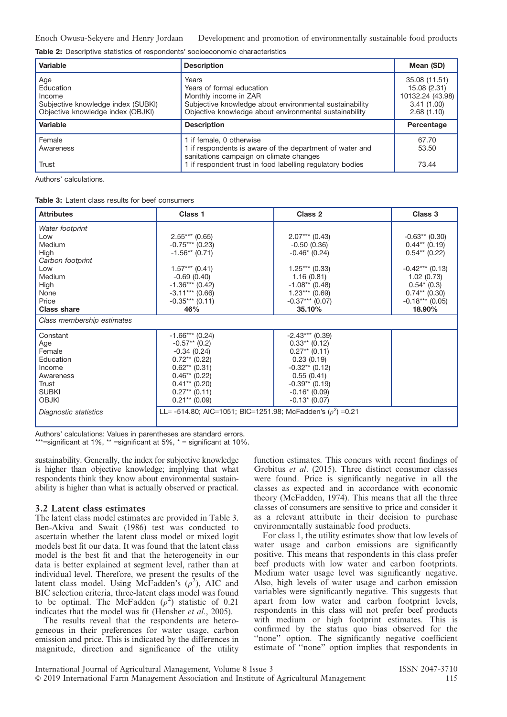|  |  | Table 2: Descriptive statistics of respondents' socioeconomic characteristics |  |
|--|--|-------------------------------------------------------------------------------|--|
|  |  |                                                                               |  |

| Variable                                                                                              | <b>Description</b>                                                                                                                                                               | Mean (SD)                                                                     |
|-------------------------------------------------------------------------------------------------------|----------------------------------------------------------------------------------------------------------------------------------------------------------------------------------|-------------------------------------------------------------------------------|
| Age<br>Education<br>Income<br>Subjective knowledge index (SUBKI)<br>Objective knowledge index (OBJKI) | Years<br>Years of formal education<br>Monthly income in ZAR<br>Subjective knowledge about environmental sustainability<br>Objective knowledge about environmental sustainability | 35.08 (11.51)<br>15.08 (2.31)<br>10132.24 (43.98)<br>3.41(1.00)<br>2.68(1.10) |
| Variable                                                                                              | <b>Description</b>                                                                                                                                                               | Percentage                                                                    |
| Female<br>Awareness                                                                                   | 1 if female, 0 otherwise<br>1 if respondents is aware of the department of water and<br>sanitations campaign on climate changes                                                  | 67.70<br>53.50                                                                |
| Trust                                                                                                 | 1 if respondent trust in food labelling regulatory bodies                                                                                                                        | 73.44                                                                         |

Authors' calculations.

Table 3: Latent class results for beef consumers

| Class 1                                                         | Class 2           | Class 3           |  |
|-----------------------------------------------------------------|-------------------|-------------------|--|
|                                                                 |                   |                   |  |
| $2.55***$ (0.65)                                                | $2.07***$ (0.43)  | $-0.63**$ (0.30)  |  |
| $-0.75***$ (0.23)                                               | $-0.50(0.36)$     | $0.44**$ (0.19)   |  |
| $-1.56**$ (0.71)                                                | $-0.46$ $(0.24)$  | $0.54**$ (0.22)   |  |
|                                                                 |                   |                   |  |
| $1.57***$ (0.41)                                                | $1.25***$ (0.33)  | $-0.42***$ (0.13) |  |
| $-0.69(0.40)$                                                   | 1.16(0.81)        | 1.02(0.73)        |  |
| $-1.36***$ (0.42)                                               | $-1.08**$ (0.48)  | $0.54*(0.3)$      |  |
|                                                                 | $1.23***$ (0.69)  | $0.74**$ (0.30)   |  |
| $-0.35***$ (0.11)                                               | $-0.37***$ (0.07) | $-0.18***$ (0.05) |  |
| 46%                                                             |                   | 18.90%            |  |
| Class membership estimates                                      |                   |                   |  |
| $-1.66***$ (0.24)                                               | $-2.43***$ (0.39) |                   |  |
| $-0.57**$ (0.2)                                                 | $0.33**$ (0.12)   |                   |  |
| $-0.34(0.24)$                                                   | $0.27**$ (0.11)   |                   |  |
| $0.72**$ (0.22)                                                 | 0.23(0.19)        |                   |  |
| $0.62**$ (0.31)                                                 | $-0.32**$ (0.12)  |                   |  |
| $0.46**$ (0.22)                                                 | 0.55(0.41)        |                   |  |
| $0.41**$ (0.20)                                                 | $-0.39**$ (0.19)  |                   |  |
| $0.27**$ (0.11)                                                 | $-0.16*(0.09)$    |                   |  |
| $0.21**$ (0.09)                                                 | $-0.13$ (0.07)    |                   |  |
| LL= -514.80; AIC=1051; BIC=1251.98; McFadden's $(\rho^2)$ =0.21 |                   |                   |  |
|                                                                 | $-3.11***$ (0.66) | 35.10%            |  |

Authors' calculations: Values in parentheses are standard errors.  $k^*$ =significant at 1%,  $k^*$  =significant at 5%,  $k^*$  = significant at 10%.

sustainability. Generally, the index for subjective knowledge is higher than objective knowledge; implying that what respondents think they know about environmental sustainability is higher than what is actually observed or practical.

#### 3.2 Latent class estimates

The latent class model estimates are provided in Table 3. Ben-Akiva and Swait (1986) test was conducted to ascertain whether the latent class model or mixed logit models best fit our data. It was found that the latent class model is the best fit and that the heterogeneity in our data is better explained at segment level, rather than at individual level. Therefore, we present the results of the latent class model. Using McFadden's  $(\rho^2)$ , AIC and BIC selection criteria, three-latent class model was found to be optimal. The McFadden  $(\rho^2)$  statistic of 0.21 indicates that the model was fit (Hensher *et al.*, 2005).

The results reveal that the respondents are heterogeneous in their preferences for water usage, carbon emission and price. This is indicated by the differences in magnitude, direction and significance of the utility

function estimates. This concurs with recent findings of Grebitus et al. (2015). Three distinct consumer classes were found. Price is significantly negative in all the classes as expected and in accordance with economic theory (McFadden, 1974). This means that all the three classes of consumers are sensitive to price and consider it as a relevant attribute in their decision to purchase environmentally sustainable food products.

For class 1, the utility estimates show that low levels of water usage and carbon emissions are significantly positive. This means that respondents in this class prefer beef products with low water and carbon footprints. Medium water usage level was significantly negative. Also, high levels of water usage and carbon emission variables were significantly negative. This suggests that apart from low water and carbon footprint levels, respondents in this class will not prefer beef products with medium or high footprint estimates. This is confirmed by the status quo bias observed for the ''none'' option. The significantly negative coefficient estimate of ''none'' option implies that respondents in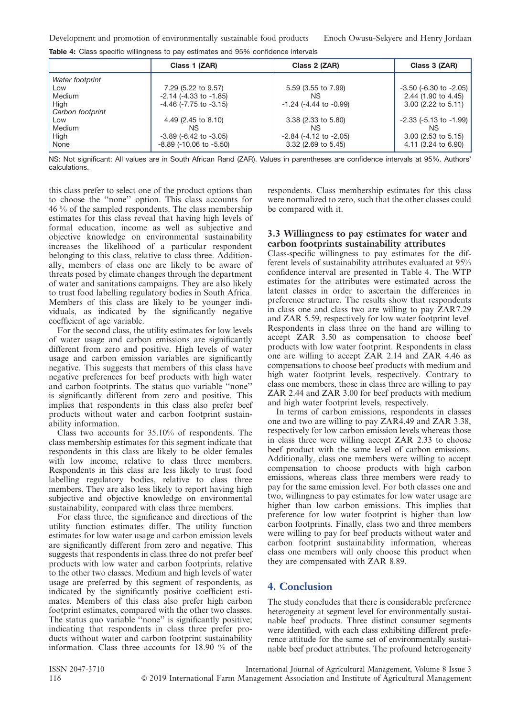|                  | Class 1 (ZAR)                   | Class 2 (ZAR)                  | Class 3 (ZAR)                  |
|------------------|---------------------------------|--------------------------------|--------------------------------|
| Water footprint  |                                 |                                |                                |
| Low              | 7.29 (5.22 to 9.57)             | 5.59 (3.55 to 7.99)            | $-3.50$ ( $-6.30$ to $-2.05$ ) |
| Medium           | $-2.14$ $(-4.33$ to $-1.85)$    | ΝS                             | 2.44 (1.90 to 4.45)            |
| High             | $-4.46$ ( $-7.75$ to $-3.15$ )  | $-1.24$ ( $-4.44$ to $-0.99$ ) | 3.00 (2.22 to 5.11)            |
| Carbon footprint |                                 |                                |                                |
| Low              | 4.49 (2.45 to 8.10)             | 3.38 (2.33 to 5.80)            | $-2.33$ ( $-5.13$ to $-1.99$ ) |
| Medium           | ΝS                              | ΝS                             | NS.                            |
| High             | $-3.89$ ( $-6.42$ to $-3.05$ )  | $-2.84$ ( $-4.12$ to $-2.05$ ) | $3.00$ (2.53 to 5.15)          |
| None             | $-8.89$ ( $-10.06$ to $-5.50$ ) | 3.32 (2.69 to 5.45)            | 4.11 (3.24 to 6.90)            |

Table 4: Class specific willingness to pay estimates and 95% confidence intervals

NS: Not significant: All values are in South African Rand (ZAR). Values in parentheses are confidence intervals at 95%. Authors' calculations.

this class prefer to select one of the product options than to choose the ''none'' option. This class accounts for 46 % of the sampled respondents. The class membership estimates for this class reveal that having high levels of formal education, income as well as subjective and objective knowledge on environmental sustainability increases the likelihood of a particular respondent belonging to this class, relative to class three. Additionally, members of class one are likely to be aware of threats posed by climate changes through the department of water and sanitations campaigns. They are also likely to trust food labelling regulatory bodies in South Africa. Members of this class are likely to be younger individuals, as indicated by the significantly negative coefficient of age variable.

For the second class, the utility estimates for low levels of water usage and carbon emissions are significantly different from zero and positive. High levels of water usage and carbon emission variables are significantly negative. This suggests that members of this class have negative preferences for beef products with high water and carbon footprints. The status quo variable ''none'' is significantly different from zero and positive. This implies that respondents in this class also prefer beef products without water and carbon footprint sustainability information.

Class two accounts for 35.10% of respondents. The class membership estimates for this segment indicate that respondents in this class are likely to be older females with low income, relative to class three members. Respondents in this class are less likely to trust food labelling regulatory bodies, relative to class three members. They are also less likely to report having high subjective and objective knowledge on environmental sustainability, compared with class three members.

For class three, the significance and directions of the utility function estimates differ. The utility function estimates for low water usage and carbon emission levels are significantly different from zero and negative. This suggests that respondents in class three do not prefer beef products with low water and carbon footprints, relative to the other two classes. Medium and high levels of water usage are preferred by this segment of respondents, as indicated by the significantly positive coefficient estimates. Members of this class also prefer high carbon footprint estimates, compared with the other two classes. The status quo variable "none" is significantly positive; indicating that respondents in class three prefer products without water and carbon footprint sustainability information. Class three accounts for 18.90 % of the

respondents. Class membership estimates for this class were normalized to zero, such that the other classes could be compared with it.

#### 3.3 Willingness to pay estimates for water and carbon footprints sustainability attributes

Class-specific willingness to pay estimates for the different levels of sustainability attributes evaluated at 95% confidence interval are presented in Table 4. The WTP estimates for the attributes were estimated across the latent classes in order to ascertain the differences in preference structure. The results show that respondents in class one and class two are willing to pay ZAR7.29 and ZAR 5.59, respectively for low water footprint level. Respondents in class three on the hand are willing to accept ZAR 3.50 as compensation to choose beef products with low water footprint. Respondents in class one are willing to accept ZAR 2.14 and ZAR 4.46 as compensations to choose beef products with medium and high water footprint levels, respectively. Contrary to class one members, those in class three are willing to pay ZAR 2.44 and ZAR 3.00 for beef products with medium and high water footprint levels, respectively.

In terms of carbon emissions, respondents in classes one and two are willing to pay ZAR4.49 and ZAR 3.38, respectively for low carbon emission levels whereas those in class three were willing accept ZAR 2.33 to choose beef product with the same level of carbon emissions. Additionally, class one members were willing to accept compensation to choose products with high carbon emissions, whereas class three members were ready to pay for the same emission level. For both classes one and two, willingness to pay estimates for low water usage are higher than low carbon emissions. This implies that preference for low water footprint is higher than low carbon footprints. Finally, class two and three members were willing to pay for beef products without water and carbon footprint sustainability information, whereas class one members will only choose this product when they are compensated with ZAR 8.89.

# 4. Conclusion

The study concludes that there is considerable preference heterogeneity at segment level for environmentally sustainable beef products. Three distinct consumer segments were identified, with each class exhibiting different preference attitude for the same set of environmentally sustainable beef product attributes. The profound heterogeneity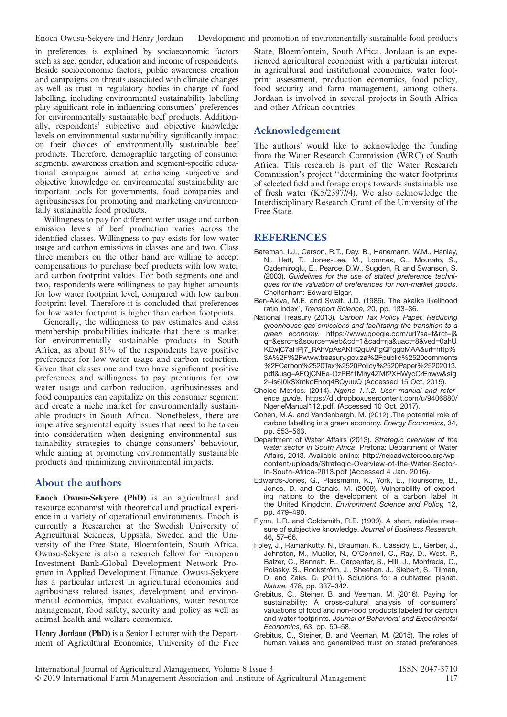in preferences is explained by socioeconomic factors such as age, gender, education and income of respondents. Beside socioeconomic factors, public awareness creation and campaigns on threats associated with climate changes as well as trust in regulatory bodies in charge of food labelling, including environmental sustainability labelling play significant role in influencing consumers' preferences for environmentally sustainable beef products. Additionally, respondents' subjective and objective knowledge levels on environmental sustainability significantly impact on their choices of environmentally sustainable beef products. Therefore, demographic targeting of consumer segments, awareness creation and segment-specific educational campaigns aimed at enhancing subjective and objective knowledge on environmental sustainability are important tools for governments, food companies and agribusinesses for promoting and marketing environmentally sustainable food products.

Willingness to pay for different water usage and carbon emission levels of beef production varies across the identified classes. Willingness to pay exists for low water usage and carbon emissions in classes one and two. Class three members on the other hand are willing to accept compensations to purchase beef products with low water and carbon footprint values. For both segments one and two, respondents were willingness to pay higher amounts for low water footprint level, compared with low carbon footprint level. Therefore it is concluded that preferences for low water footprint is higher than carbon footprints.

Generally, the willingness to pay estimates and class membership probabilities indicate that there is market for environmentally sustainable products in South Africa, as about 81% of the respondents have positive preferences for low water usage and carbon reduction. Given that classes one and two have significant positive preferences and willingness to pay premiums for low water usage and carbon reduction, agribusinesses and food companies can capitalize on this consumer segment and create a niche market for environmentally sustainable products in South Africa. Nonetheless, there are imperative segmental equity issues that need to be taken into consideration when designing environmental sustainability strategies to change consumers' behaviour, while aiming at promoting environmentally sustainable products and minimizing environmental impacts.

### About the authors

Enoch Owusu-Sekyere (PhD) is an agricultural and resource economist with theoretical and practical experience in a variety of operational environments. Enoch is currently a Researcher at the Swedish University of Agricultural Sciences, Uppsala, Sweden and the University of the Free State, Bloemfontein, South Africa. Owusu-Sekyere is also a research fellow for European Investment Bank-Global Development Network Program in Applied Development Finance. Owusu-Sekyere has a particular interest in agricultural economics and agribusiness related issues, development and environmental economics, impact evaluations, water resource management, food safety, security and policy as well as animal health and welfare economics.

Henry Jordaan (PhD) is a Senior Lecturer with the Department of Agricultural Economics, University of the Free State, Bloemfontein, South Africa. Jordaan is an experienced agricultural economist with a particular interest in agricultural and institutional economics, water footprint assessment, production economics, food policy, food security and farm management, among others. Jordaan is involved in several projects in South Africa and other African countries.

# Acknowledgement

The authors' would like to acknowledge the funding from the Water Research Commission (WRC) of South Africa. This research is part of the Water Research Commission's project ''determining the water footprints of selected field and forage crops towards sustainable use of fresh water (K5/2397//4). We also acknowledge the Interdisciplinary Research Grant of the University of the Free State.

# **REFERENCES**

- Bateman, I.J., Carson, R.T., Day, B., Hanemann, W.M., Hanley, N., Hett, T., Jones-Lee, M., Loomes, G., Mourato, S., Ozdemiroglu, E., Pearce, D.W., Sugden, R. and Swanson, S. (2003). Guidelines for the use of stated preference techniques for the valuation of preferences for non-market goods. Cheltenham: Edward Elgar.
- Ben-Akiva, M.E. and Swait, J.D. (1986). The akaike likelihood ratio index', Transport Science, 20, pp. 133–36.
- National Treasury (2013). Carbon Tax Policy Paper. Reducing greenhouse gas emissions and facilitating the transition to a green economy. https://www.google.com/url?sa=t&rct=j& q=&esrc=s&source=web&cd=1&cad=rja&uact=8&ved=0ahU KEwjC7aHPj7\_RAhVpAsAKHQgUAFgQFggbMAA&url=http% 3A%2F%2Fwww.treasury.gov.za%2Fpublic%2520comments %2FCarbon%2520Tax%2520Policy%2520Paper%25202013. pdf&usg=AFQjCNEe-OzPBf1Mhy4ZMf2XHWycCrEnww&sig 2=is6I0kSXmkoEnnq4RQyuuQ (Accessed 15 Oct. 2015).
- Choice Metrics. (2014). Ngene 1.1.2. User manual and reference guide. https://dl.dropboxusercontent.com/u/9406880/ NgeneManual112.pdf. (Accessed 10 Oct. 2017).
- Cohen, M.A. and Vandenbergh, M. (2012) .The potential role of carbon labelling in a green economy. Energy Economics, 34, pp. 553–563.
- Department of Water Affairs (2013). Strategic overview of the water sector in South Africa, Pretoria: Department of Water Affairs, 2013. Available online: http://nepadwatercoe.org/wpcontent/uploads/Strategic-Overview-of-the-Water-Sectorin-South-Africa-2013.pdf (Accessed 4 Jan. 2016).
- Edwards-Jones, G., Plassmann, K., York, E., Hounsome, B., Jones, D. and Canals, M. (2009). Vulnerability of exporting nations to the development of a carbon label in the United Kingdom. Environment Science and Policy, 12, pp. 479–490.
- Flynn, L.R. and Goldsmith, R.E. (1999). A short, reliable measure of subjective knowledge. Journal of Business Research, 46, 57–66.
- Foley, J., Ramankutty, N., Brauman, K., Cassidy, E., Gerber, J., Johnston, M., Mueller, N., O'Connell, C., Ray, D., West, P., Balzer, C., Bennett, E., Carpenter, S., Hill, J., Monfreda, C., Polasky, S., Rockström, J., Sheehan, J., Siebert, S., Tilman, D. and Zaks, D. (2011). Solutions for a cultivated planet. Nature, 478, pp. 337–342.
- Grebitus, C., Steiner, B. and Veeman, M. (2016). Paying for sustainability: A cross-cultural analysis of consumers' valuations of food and non-food products labeled for carbon and water footprints. Journal of Behavioral and Experimental Economics, 63, pp. 50–58.
- Grebitus, C., Steiner, B. and Veeman, M. (2015). The roles of human values and generalized trust on stated preferences